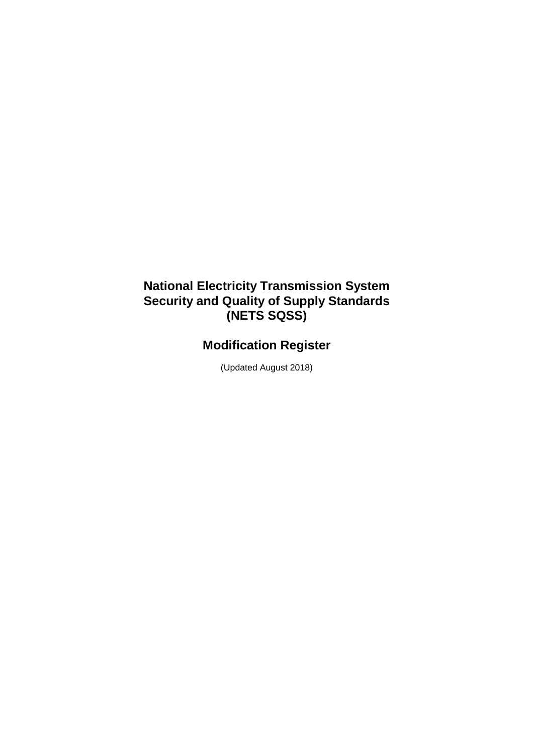## **National Electricity Transmission System Security and Quality of Supply Standards (NETS SQSS)**

# **Modification Register**

(Updated August 2018)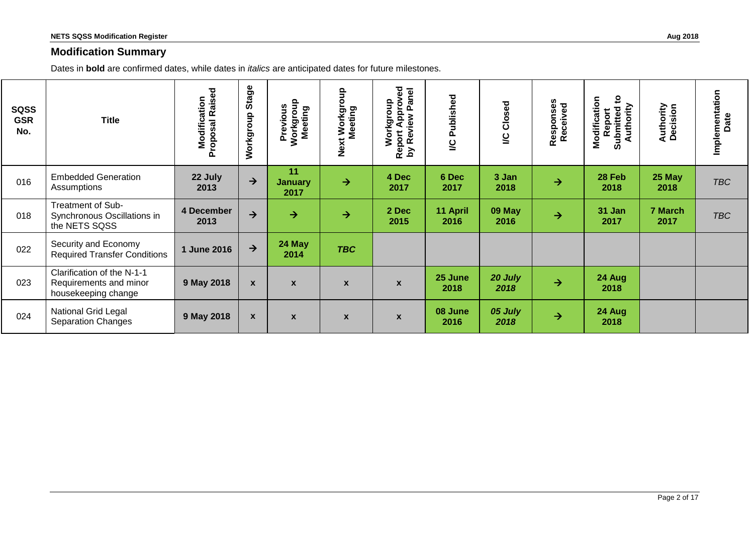#### **Modification Summary**

Dates in **bold** are confirmed dates, while dates in *italics* are anticipated dates for future milestones.

| <b>SQSS</b><br><b>GSR</b><br>No. | <b>Title</b>                                                                | <b>Proposal Raised</b><br>Modification | Stage<br>Workgroup | Previous<br>Workgroup<br>Meeting | Workgroup<br>Meeting<br>Next | Approved<br>lane<br>Workgroup<br>௳<br>Review<br>Report<br>λq | Published<br>Š   | <b>I/C Closed</b> | Responses<br>Received | $\mathbf{c}$<br>Modification<br>Authority<br>Report<br>Submitted | <b>Authority</b><br>Decision | Implementation<br>Date |
|----------------------------------|-----------------------------------------------------------------------------|----------------------------------------|--------------------|----------------------------------|------------------------------|--------------------------------------------------------------|------------------|-------------------|-----------------------|------------------------------------------------------------------|------------------------------|------------------------|
| 016                              | <b>Embedded Generation</b><br>Assumptions                                   | 22 July<br>2013                        | $\rightarrow$      | 11<br><b>January</b><br>2017     | $\rightarrow$                | 4 Dec<br>2017                                                | 6 Dec<br>2017    | 3 Jan<br>2018     | $\rightarrow$         | 28 Feb<br>2018                                                   | 25 May<br>2018               | <b>TBC</b>             |
| 018                              | Treatment of Sub-<br>Synchronous Oscillations in<br>the NETS SQSS           | 4 December<br>2013                     | $\rightarrow$      | $\rightarrow$                    | $\rightarrow$                | 2 Dec<br>2015                                                | 11 April<br>2016 | 09 May<br>2016    | $\rightarrow$         | 31 Jan<br>2017                                                   | 7 March<br>2017              | <b>TBC</b>             |
| 022                              | Security and Economy<br><b>Required Transfer Conditions</b>                 | 1 June 2016                            | $\rightarrow$      | 24 May<br>2014                   | <b>TBC</b>                   |                                                              |                  |                   |                       |                                                                  |                              |                        |
| 023                              | Clarification of the N-1-1<br>Requirements and minor<br>housekeeping change | 9 May 2018                             | $\mathbf{x}$       | $\boldsymbol{x}$                 | $\boldsymbol{x}$             | $\boldsymbol{\mathsf{x}}$                                    | 25 June<br>2018  | 20 July<br>2018   | $\rightarrow$         | 24 Aug<br>2018                                                   |                              |                        |
| 024                              | <b>National Grid Legal</b><br><b>Separation Changes</b>                     | 9 May 2018                             | $\boldsymbol{x}$   | $\boldsymbol{x}$                 | $\mathbf{x}$                 | $\boldsymbol{\mathsf{x}}$                                    | 08 June<br>2016  | 05 July<br>2018   | $\rightarrow$         | 24 Aug<br>2018                                                   |                              |                        |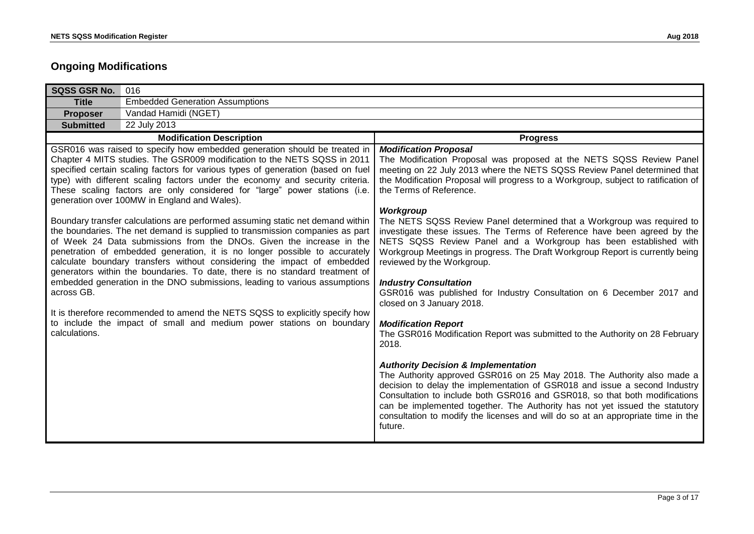### **Ongoing Modifications**

| 016                                                                                                                                                                                                                                                                                                                                                                                                                                                                                                                                                                                                                                                                                                                                                                                                                                                                                                                                                                                                                                                                                                                                                                               |                                                                                                                                                                                                                                                                                                                                                                                                                                                                                                                                                                                                                                                                                                                                                                                                                                                                                                                                                                                                                                                                                                                                                                                                                                                                                                                                                                                             |
|-----------------------------------------------------------------------------------------------------------------------------------------------------------------------------------------------------------------------------------------------------------------------------------------------------------------------------------------------------------------------------------------------------------------------------------------------------------------------------------------------------------------------------------------------------------------------------------------------------------------------------------------------------------------------------------------------------------------------------------------------------------------------------------------------------------------------------------------------------------------------------------------------------------------------------------------------------------------------------------------------------------------------------------------------------------------------------------------------------------------------------------------------------------------------------------|---------------------------------------------------------------------------------------------------------------------------------------------------------------------------------------------------------------------------------------------------------------------------------------------------------------------------------------------------------------------------------------------------------------------------------------------------------------------------------------------------------------------------------------------------------------------------------------------------------------------------------------------------------------------------------------------------------------------------------------------------------------------------------------------------------------------------------------------------------------------------------------------------------------------------------------------------------------------------------------------------------------------------------------------------------------------------------------------------------------------------------------------------------------------------------------------------------------------------------------------------------------------------------------------------------------------------------------------------------------------------------------------|
| <b>Embedded Generation Assumptions</b>                                                                                                                                                                                                                                                                                                                                                                                                                                                                                                                                                                                                                                                                                                                                                                                                                                                                                                                                                                                                                                                                                                                                            |                                                                                                                                                                                                                                                                                                                                                                                                                                                                                                                                                                                                                                                                                                                                                                                                                                                                                                                                                                                                                                                                                                                                                                                                                                                                                                                                                                                             |
| Vandad Hamidi (NGET)                                                                                                                                                                                                                                                                                                                                                                                                                                                                                                                                                                                                                                                                                                                                                                                                                                                                                                                                                                                                                                                                                                                                                              |                                                                                                                                                                                                                                                                                                                                                                                                                                                                                                                                                                                                                                                                                                                                                                                                                                                                                                                                                                                                                                                                                                                                                                                                                                                                                                                                                                                             |
| 22 July 2013                                                                                                                                                                                                                                                                                                                                                                                                                                                                                                                                                                                                                                                                                                                                                                                                                                                                                                                                                                                                                                                                                                                                                                      |                                                                                                                                                                                                                                                                                                                                                                                                                                                                                                                                                                                                                                                                                                                                                                                                                                                                                                                                                                                                                                                                                                                                                                                                                                                                                                                                                                                             |
| <b>Modification Description</b>                                                                                                                                                                                                                                                                                                                                                                                                                                                                                                                                                                                                                                                                                                                                                                                                                                                                                                                                                                                                                                                                                                                                                   | <b>Progress</b>                                                                                                                                                                                                                                                                                                                                                                                                                                                                                                                                                                                                                                                                                                                                                                                                                                                                                                                                                                                                                                                                                                                                                                                                                                                                                                                                                                             |
| GSR016 was raised to specify how embedded generation should be treated in<br>Chapter 4 MITS studies. The GSR009 modification to the NETS SQSS in 2011<br>specified certain scaling factors for various types of generation (based on fuel<br>type) with different scaling factors under the economy and security criteria.<br>These scaling factors are only considered for "large" power stations (i.e.<br>generation over 100MW in England and Wales).<br>Boundary transfer calculations are performed assuming static net demand within<br>the boundaries. The net demand is supplied to transmission companies as part<br>of Week 24 Data submissions from the DNOs. Given the increase in the<br>penetration of embedded generation, it is no longer possible to accurately<br>calculate boundary transfers without considering the impact of embedded<br>generators within the boundaries. To date, there is no standard treatment of<br>embedded generation in the DNO submissions, leading to various assumptions<br>It is therefore recommended to amend the NETS SQSS to explicitly specify how<br>to include the impact of small and medium power stations on boundary | <b>Modification Proposal</b><br>The Modification Proposal was proposed at the NETS SQSS Review Panel<br>meeting on 22 July 2013 where the NETS SQSS Review Panel determined that<br>the Modification Proposal will progress to a Workgroup, subject to ratification of<br>the Terms of Reference.<br>Workgroup<br>The NETS SQSS Review Panel determined that a Workgroup was required to<br>investigate these issues. The Terms of Reference have been agreed by the<br>NETS SQSS Review Panel and a Workgroup has been established with<br>Workgroup Meetings in progress. The Draft Workgroup Report is currently being<br>reviewed by the Workgroup.<br><b>Industry Consultation</b><br>GSR016 was published for Industry Consultation on 6 December 2017 and<br>closed on 3 January 2018.<br><b>Modification Report</b><br>The GSR016 Modification Report was submitted to the Authority on 28 February<br>2018.<br><b>Authority Decision &amp; Implementation</b><br>The Authority approved GSR016 on 25 May 2018. The Authority also made a<br>decision to delay the implementation of GSR018 and issue a second Industry<br>Consultation to include both GSR016 and GSR018, so that both modifications<br>can be implemented together. The Authority has not yet issued the statutory<br>consultation to modify the licenses and will do so at an appropriate time in the<br>future. |
|                                                                                                                                                                                                                                                                                                                                                                                                                                                                                                                                                                                                                                                                                                                                                                                                                                                                                                                                                                                                                                                                                                                                                                                   |                                                                                                                                                                                                                                                                                                                                                                                                                                                                                                                                                                                                                                                                                                                                                                                                                                                                                                                                                                                                                                                                                                                                                                                                                                                                                                                                                                                             |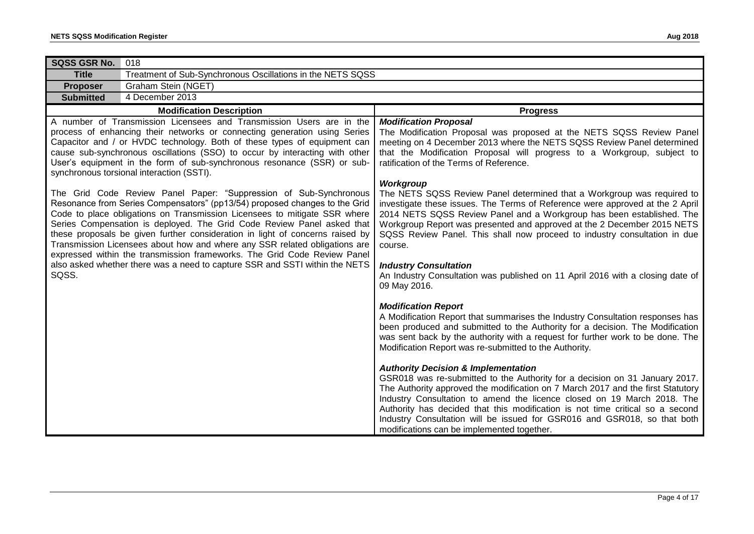| SQSS GSR No.<br>018                                                                                                                                                                                                                                                                                                                                                                                                                                                                                                                               |                                                                                                                                                                                                                                                                                                                                                                                                                                                                                                        |
|---------------------------------------------------------------------------------------------------------------------------------------------------------------------------------------------------------------------------------------------------------------------------------------------------------------------------------------------------------------------------------------------------------------------------------------------------------------------------------------------------------------------------------------------------|--------------------------------------------------------------------------------------------------------------------------------------------------------------------------------------------------------------------------------------------------------------------------------------------------------------------------------------------------------------------------------------------------------------------------------------------------------------------------------------------------------|
| Treatment of Sub-Synchronous Oscillations in the NETS SQSS<br><b>Title</b>                                                                                                                                                                                                                                                                                                                                                                                                                                                                        |                                                                                                                                                                                                                                                                                                                                                                                                                                                                                                        |
| Graham Stein (NGET)<br><b>Proposer</b>                                                                                                                                                                                                                                                                                                                                                                                                                                                                                                            |                                                                                                                                                                                                                                                                                                                                                                                                                                                                                                        |
| 4 December 2013<br><b>Submitted</b>                                                                                                                                                                                                                                                                                                                                                                                                                                                                                                               |                                                                                                                                                                                                                                                                                                                                                                                                                                                                                                        |
| <b>Modification Description</b>                                                                                                                                                                                                                                                                                                                                                                                                                                                                                                                   | <b>Progress</b>                                                                                                                                                                                                                                                                                                                                                                                                                                                                                        |
| A number of Transmission Licensees and Transmission Users are in the<br>process of enhancing their networks or connecting generation using Series<br>Capacitor and / or HVDC technology. Both of these types of equipment can<br>cause sub-synchronous oscillations (SSO) to occur by interacting with other<br>User's equipment in the form of sub-synchronous resonance (SSR) or sub-<br>synchronous torsional interaction (SSTI).                                                                                                              | <b>Modification Proposal</b><br>The Modification Proposal was proposed at the NETS SQSS Review Panel<br>meeting on 4 December 2013 where the NETS SQSS Review Panel determined<br>that the Modification Proposal will progress to a Workgroup, subject to<br>ratification of the Terms of Reference.                                                                                                                                                                                                   |
| The Grid Code Review Panel Paper: "Suppression of Sub-Synchronous<br>Resonance from Series Compensators" (pp13/54) proposed changes to the Grid<br>Code to place obligations on Transmission Licensees to mitigate SSR where<br>Series Compensation is deployed. The Grid Code Review Panel asked that<br>these proposals be given further consideration in light of concerns raised by<br>Transmission Licensees about how and where any SSR related obligations are<br>expressed within the transmission frameworks. The Grid Code Review Panel | Workgroup<br>The NETS SQSS Review Panel determined that a Workgroup was required to<br>investigate these issues. The Terms of Reference were approved at the 2 April<br>2014 NETS SQSS Review Panel and a Workgroup has been established. The<br>Workgroup Report was presented and approved at the 2 December 2015 NETS<br>SQSS Review Panel. This shall now proceed to industry consultation in due<br>course.                                                                                       |
| also asked whether there was a need to capture SSR and SSTI within the NETS<br>SQSS.                                                                                                                                                                                                                                                                                                                                                                                                                                                              | <b>Industry Consultation</b><br>An Industry Consultation was published on 11 April 2016 with a closing date of<br>09 May 2016.                                                                                                                                                                                                                                                                                                                                                                         |
|                                                                                                                                                                                                                                                                                                                                                                                                                                                                                                                                                   | <b>Modification Report</b><br>A Modification Report that summarises the Industry Consultation responses has<br>been produced and submitted to the Authority for a decision. The Modification<br>was sent back by the authority with a request for further work to be done. The<br>Modification Report was re-submitted to the Authority.                                                                                                                                                               |
|                                                                                                                                                                                                                                                                                                                                                                                                                                                                                                                                                   | <b>Authority Decision &amp; Implementation</b><br>GSR018 was re-submitted to the Authority for a decision on 31 January 2017.<br>The Authority approved the modification on 7 March 2017 and the first Statutory<br>Industry Consultation to amend the licence closed on 19 March 2018. The<br>Authority has decided that this modification is not time critical so a second<br>Industry Consultation will be issued for GSR016 and GSR018, so that both<br>modifications can be implemented together. |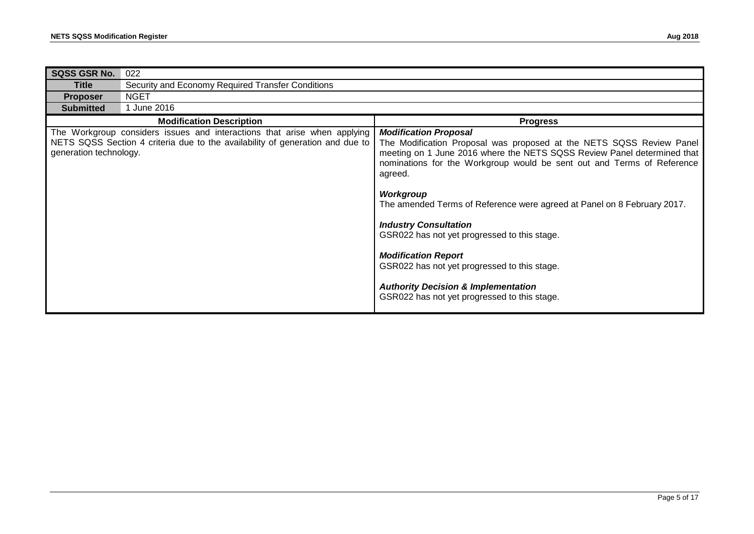| <b>SQSS GSR No.</b>    | 022                                                                                                                                                       |                                                                                                                                                                                                                                                                                                                                                                                                                                                                                                                                                                                                                                     |
|------------------------|-----------------------------------------------------------------------------------------------------------------------------------------------------------|-------------------------------------------------------------------------------------------------------------------------------------------------------------------------------------------------------------------------------------------------------------------------------------------------------------------------------------------------------------------------------------------------------------------------------------------------------------------------------------------------------------------------------------------------------------------------------------------------------------------------------------|
| Title                  | Security and Economy Required Transfer Conditions                                                                                                         |                                                                                                                                                                                                                                                                                                                                                                                                                                                                                                                                                                                                                                     |
| <b>Proposer</b>        | <b>NGET</b>                                                                                                                                               |                                                                                                                                                                                                                                                                                                                                                                                                                                                                                                                                                                                                                                     |
| <b>Submitted</b>       | 1 June 2016                                                                                                                                               |                                                                                                                                                                                                                                                                                                                                                                                                                                                                                                                                                                                                                                     |
|                        | <b>Modification Description</b>                                                                                                                           | <b>Progress</b>                                                                                                                                                                                                                                                                                                                                                                                                                                                                                                                                                                                                                     |
| generation technology. | The Workgroup considers issues and interactions that arise when applying<br>NETS SQSS Section 4 criteria due to the availability of generation and due to | <b>Modification Proposal</b><br>The Modification Proposal was proposed at the NETS SQSS Review Panel<br>meeting on 1 June 2016 where the NETS SQSS Review Panel determined that<br>nominations for the Workgroup would be sent out and Terms of Reference<br>agreed.<br><b>Workgroup</b><br>The amended Terms of Reference were agreed at Panel on 8 February 2017.<br><b>Industry Consultation</b><br>GSR022 has not yet progressed to this stage.<br><b>Modification Report</b><br>GSR022 has not yet progressed to this stage.<br><b>Authority Decision &amp; Implementation</b><br>GSR022 has not yet progressed to this stage. |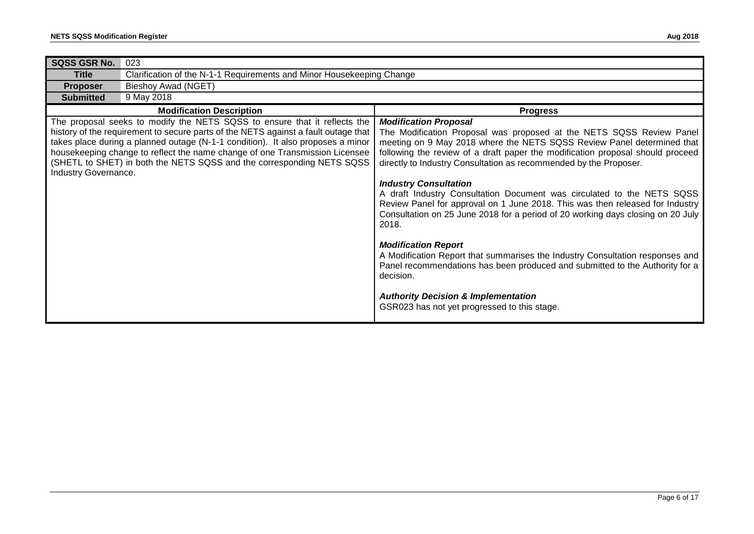| SQSS GSR No.         | 023                                                                                                                                                                                                                                                                                                                                                                                                        |                                                                                                                                                                                                                                                                                                                                                                                                                                                                                                                                                                                                                                                                                                                                                                                                                                                                                                                                            |  |
|----------------------|------------------------------------------------------------------------------------------------------------------------------------------------------------------------------------------------------------------------------------------------------------------------------------------------------------------------------------------------------------------------------------------------------------|--------------------------------------------------------------------------------------------------------------------------------------------------------------------------------------------------------------------------------------------------------------------------------------------------------------------------------------------------------------------------------------------------------------------------------------------------------------------------------------------------------------------------------------------------------------------------------------------------------------------------------------------------------------------------------------------------------------------------------------------------------------------------------------------------------------------------------------------------------------------------------------------------------------------------------------------|--|
| <b>Title</b>         | Clarification of the N-1-1 Requirements and Minor Housekeeping Change                                                                                                                                                                                                                                                                                                                                      |                                                                                                                                                                                                                                                                                                                                                                                                                                                                                                                                                                                                                                                                                                                                                                                                                                                                                                                                            |  |
| <b>Proposer</b>      | Bieshoy Awad (NGET)                                                                                                                                                                                                                                                                                                                                                                                        |                                                                                                                                                                                                                                                                                                                                                                                                                                                                                                                                                                                                                                                                                                                                                                                                                                                                                                                                            |  |
| <b>Submitted</b>     | 9 May 2018                                                                                                                                                                                                                                                                                                                                                                                                 |                                                                                                                                                                                                                                                                                                                                                                                                                                                                                                                                                                                                                                                                                                                                                                                                                                                                                                                                            |  |
|                      | <b>Modification Description</b>                                                                                                                                                                                                                                                                                                                                                                            | <b>Progress</b>                                                                                                                                                                                                                                                                                                                                                                                                                                                                                                                                                                                                                                                                                                                                                                                                                                                                                                                            |  |
| Industry Governance. | The proposal seeks to modify the NETS SQSS to ensure that it reflects the<br>history of the requirement to secure parts of the NETS against a fault outage that<br>takes place during a planned outage (N-1-1 condition). It also proposes a minor<br>housekeeping change to reflect the name change of one Transmission Licensee<br>(SHETL to SHET) in both the NETS SQSS and the corresponding NETS SQSS | <b>Modification Proposal</b><br>The Modification Proposal was proposed at the NETS SQSS Review Panel<br>meeting on 9 May 2018 where the NETS SQSS Review Panel determined that<br>following the review of a draft paper the modification proposal should proceed<br>directly to Industry Consultation as recommended by the Proposer.<br><b>Industry Consultation</b><br>A draft Industry Consultation Document was circulated to the NETS SQSS<br>Review Panel for approval on 1 June 2018. This was then released for Industry<br>Consultation on 25 June 2018 for a period of 20 working days closing on 20 July<br>2018.<br><b>Modification Report</b><br>A Modification Report that summarises the Industry Consultation responses and<br>Panel recommendations has been produced and submitted to the Authority for a<br>decision.<br><b>Authority Decision &amp; Implementation</b><br>GSR023 has not yet progressed to this stage. |  |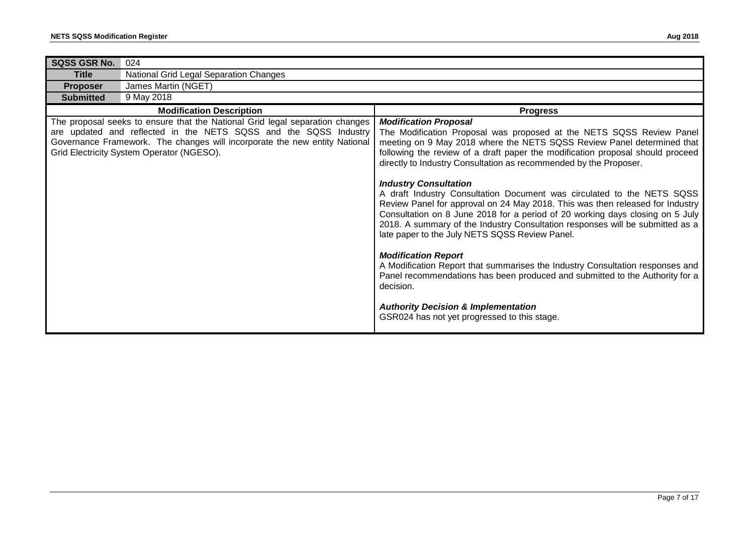| SQSS GSR No.     | 024                                                                                                                                                                                                                                                                         |                                                                                                                                                                                                                                                                                                                                                                                                                                                                                                                                                                                                                                                                                                                                                                                                                                                                                                                                                                                                                                                                    |
|------------------|-----------------------------------------------------------------------------------------------------------------------------------------------------------------------------------------------------------------------------------------------------------------------------|--------------------------------------------------------------------------------------------------------------------------------------------------------------------------------------------------------------------------------------------------------------------------------------------------------------------------------------------------------------------------------------------------------------------------------------------------------------------------------------------------------------------------------------------------------------------------------------------------------------------------------------------------------------------------------------------------------------------------------------------------------------------------------------------------------------------------------------------------------------------------------------------------------------------------------------------------------------------------------------------------------------------------------------------------------------------|
| <b>Title</b>     | National Grid Legal Separation Changes                                                                                                                                                                                                                                      |                                                                                                                                                                                                                                                                                                                                                                                                                                                                                                                                                                                                                                                                                                                                                                                                                                                                                                                                                                                                                                                                    |
| <b>Proposer</b>  | James Martin (NGET)                                                                                                                                                                                                                                                         |                                                                                                                                                                                                                                                                                                                                                                                                                                                                                                                                                                                                                                                                                                                                                                                                                                                                                                                                                                                                                                                                    |
| <b>Submitted</b> | 9 May 2018                                                                                                                                                                                                                                                                  |                                                                                                                                                                                                                                                                                                                                                                                                                                                                                                                                                                                                                                                                                                                                                                                                                                                                                                                                                                                                                                                                    |
|                  | <b>Modification Description</b>                                                                                                                                                                                                                                             | <b>Progress</b>                                                                                                                                                                                                                                                                                                                                                                                                                                                                                                                                                                                                                                                                                                                                                                                                                                                                                                                                                                                                                                                    |
|                  | The proposal seeks to ensure that the National Grid legal separation changes<br>are updated and reflected in the NETS SQSS and the SQSS Industry<br>Governance Framework. The changes will incorporate the new entity National<br>Grid Electricity System Operator (NGESO). | <b>Modification Proposal</b><br>The Modification Proposal was proposed at the NETS SQSS Review Panel<br>meeting on 9 May 2018 where the NETS SQSS Review Panel determined that<br>following the review of a draft paper the modification proposal should proceed<br>directly to Industry Consultation as recommended by the Proposer.<br><b>Industry Consultation</b><br>A draft Industry Consultation Document was circulated to the NETS SQSS<br>Review Panel for approval on 24 May 2018. This was then released for Industry<br>Consultation on 8 June 2018 for a period of 20 working days closing on 5 July<br>2018. A summary of the Industry Consultation responses will be submitted as a<br>late paper to the July NETS SQSS Review Panel.<br><b>Modification Report</b><br>A Modification Report that summarises the Industry Consultation responses and<br>Panel recommendations has been produced and submitted to the Authority for a<br>decision.<br><b>Authority Decision &amp; Implementation</b><br>GSR024 has not yet progressed to this stage. |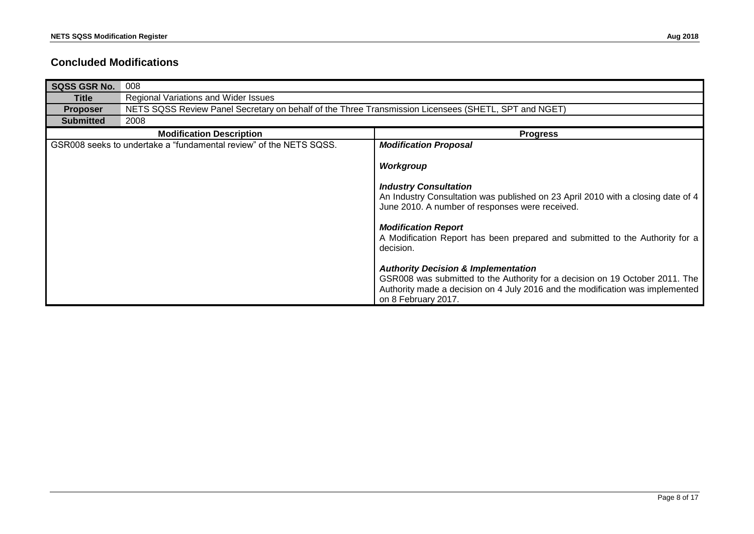#### **Concluded Modifications**

| <b>SQSS GSR No.</b> | 008                                                                                                  |                                                                                                                                                                                                                                        |  |
|---------------------|------------------------------------------------------------------------------------------------------|----------------------------------------------------------------------------------------------------------------------------------------------------------------------------------------------------------------------------------------|--|
| Title               | Regional Variations and Wider Issues                                                                 |                                                                                                                                                                                                                                        |  |
| <b>Proposer</b>     | NETS SQSS Review Panel Secretary on behalf of the Three Transmission Licensees (SHETL, SPT and NGET) |                                                                                                                                                                                                                                        |  |
| <b>Submitted</b>    | 2008                                                                                                 |                                                                                                                                                                                                                                        |  |
|                     | <b>Modification Description</b>                                                                      | <b>Progress</b>                                                                                                                                                                                                                        |  |
|                     | GSR008 seeks to undertake a "fundamental review" of the NETS SQSS.                                   | <b>Modification Proposal</b>                                                                                                                                                                                                           |  |
|                     |                                                                                                      | Workgroup                                                                                                                                                                                                                              |  |
|                     |                                                                                                      | <b>Industry Consultation</b><br>An Industry Consultation was published on 23 April 2010 with a closing date of 4<br>June 2010. A number of responses were received.                                                                    |  |
|                     |                                                                                                      | <b>Modification Report</b><br>A Modification Report has been prepared and submitted to the Authority for a<br>decision.                                                                                                                |  |
|                     |                                                                                                      | <b>Authority Decision &amp; Implementation</b><br>GSR008 was submitted to the Authority for a decision on 19 October 2011. The<br>Authority made a decision on 4 July 2016 and the modification was implemented<br>on 8 February 2017. |  |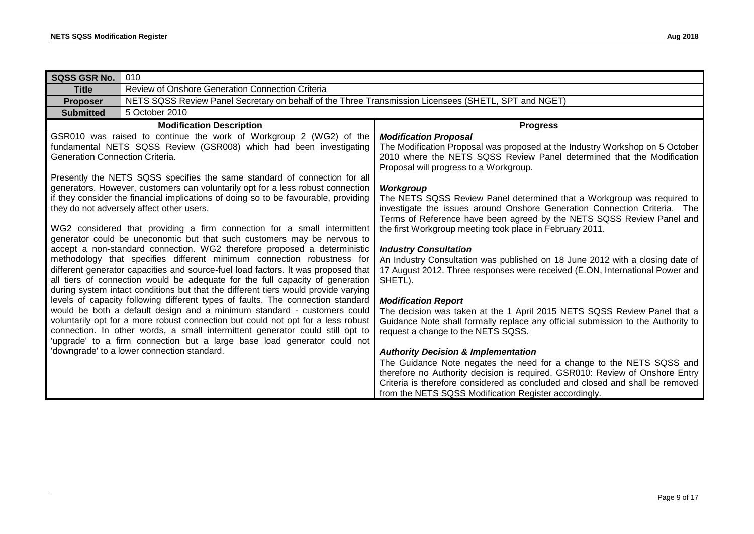| <b>SQSS GSR No.</b>             | 010                                                                                                                                                                                                                                                                                                                                                                                                                                                                                                                                                                                                                                                                                                                                                                                                                                                                                                                                                                                                                                                                                                                                                                                                                                                                                                                                                                                                                                                                                 |                                                                                                                                                                                                                                                                                                                                                                                                                                                                                                                                                                                                                                                                                                                                                                                                                                                                                                                                                                                                                                                                                                                                                                                                                                                                                      |
|---------------------------------|-------------------------------------------------------------------------------------------------------------------------------------------------------------------------------------------------------------------------------------------------------------------------------------------------------------------------------------------------------------------------------------------------------------------------------------------------------------------------------------------------------------------------------------------------------------------------------------------------------------------------------------------------------------------------------------------------------------------------------------------------------------------------------------------------------------------------------------------------------------------------------------------------------------------------------------------------------------------------------------------------------------------------------------------------------------------------------------------------------------------------------------------------------------------------------------------------------------------------------------------------------------------------------------------------------------------------------------------------------------------------------------------------------------------------------------------------------------------------------------|--------------------------------------------------------------------------------------------------------------------------------------------------------------------------------------------------------------------------------------------------------------------------------------------------------------------------------------------------------------------------------------------------------------------------------------------------------------------------------------------------------------------------------------------------------------------------------------------------------------------------------------------------------------------------------------------------------------------------------------------------------------------------------------------------------------------------------------------------------------------------------------------------------------------------------------------------------------------------------------------------------------------------------------------------------------------------------------------------------------------------------------------------------------------------------------------------------------------------------------------------------------------------------------|
| <b>Title</b>                    | Review of Onshore Generation Connection Criteria                                                                                                                                                                                                                                                                                                                                                                                                                                                                                                                                                                                                                                                                                                                                                                                                                                                                                                                                                                                                                                                                                                                                                                                                                                                                                                                                                                                                                                    |                                                                                                                                                                                                                                                                                                                                                                                                                                                                                                                                                                                                                                                                                                                                                                                                                                                                                                                                                                                                                                                                                                                                                                                                                                                                                      |
| <b>Proposer</b>                 | NETS SQSS Review Panel Secretary on behalf of the Three Transmission Licensees (SHETL, SPT and NGET)                                                                                                                                                                                                                                                                                                                                                                                                                                                                                                                                                                                                                                                                                                                                                                                                                                                                                                                                                                                                                                                                                                                                                                                                                                                                                                                                                                                |                                                                                                                                                                                                                                                                                                                                                                                                                                                                                                                                                                                                                                                                                                                                                                                                                                                                                                                                                                                                                                                                                                                                                                                                                                                                                      |
| <b>Submitted</b>                | 5 October 2010                                                                                                                                                                                                                                                                                                                                                                                                                                                                                                                                                                                                                                                                                                                                                                                                                                                                                                                                                                                                                                                                                                                                                                                                                                                                                                                                                                                                                                                                      |                                                                                                                                                                                                                                                                                                                                                                                                                                                                                                                                                                                                                                                                                                                                                                                                                                                                                                                                                                                                                                                                                                                                                                                                                                                                                      |
|                                 | <b>Modification Description</b>                                                                                                                                                                                                                                                                                                                                                                                                                                                                                                                                                                                                                                                                                                                                                                                                                                                                                                                                                                                                                                                                                                                                                                                                                                                                                                                                                                                                                                                     | <b>Progress</b>                                                                                                                                                                                                                                                                                                                                                                                                                                                                                                                                                                                                                                                                                                                                                                                                                                                                                                                                                                                                                                                                                                                                                                                                                                                                      |
| Generation Connection Criteria. | GSR010 was raised to continue the work of Workgroup 2 (WG2) of the<br>fundamental NETS SQSS Review (GSR008) which had been investigating<br>Presently the NETS SQSS specifies the same standard of connection for all<br>generators. However, customers can voluntarily opt for a less robust connection<br>if they consider the financial implications of doing so to be favourable, providing<br>they do not adversely affect other users.<br>WG2 considered that providing a firm connection for a small intermittent<br>generator could be uneconomic but that such customers may be nervous to<br>accept a non-standard connection. WG2 therefore proposed a deterministic<br>methodology that specifies different minimum connection robustness for<br>different generator capacities and source-fuel load factors. It was proposed that<br>all tiers of connection would be adequate for the full capacity of generation<br>during system intact conditions but that the different tiers would provide varying<br>levels of capacity following different types of faults. The connection standard<br>would be both a default design and a minimum standard - customers could<br>voluntarily opt for a more robust connection but could not opt for a less robust<br>connection. In other words, a small intermittent generator could still opt to<br>'upgrade' to a firm connection but a large base load generator could not<br>'downgrade' to a lower connection standard. | <b>Modification Proposal</b><br>The Modification Proposal was proposed at the Industry Workshop on 5 October<br>2010 where the NETS SQSS Review Panel determined that the Modification<br>Proposal will progress to a Workgroup.<br>Workgroup<br>The NETS SQSS Review Panel determined that a Workgroup was required to<br>investigate the issues around Onshore Generation Connection Criteria. The<br>Terms of Reference have been agreed by the NETS SQSS Review Panel and<br>the first Workgroup meeting took place in February 2011.<br><b>Industry Consultation</b><br>An Industry Consultation was published on 18 June 2012 with a closing date of<br>17 August 2012. Three responses were received (E.ON, International Power and<br>SHETL).<br><b>Modification Report</b><br>The decision was taken at the 1 April 2015 NETS SQSS Review Panel that a<br>Guidance Note shall formally replace any official submission to the Authority to<br>request a change to the NETS SQSS.<br><b>Authority Decision &amp; Implementation</b><br>The Guidance Note negates the need for a change to the NETS SQSS and<br>therefore no Authority decision is required. GSR010: Review of Onshore Entry<br>Criteria is therefore considered as concluded and closed and shall be removed |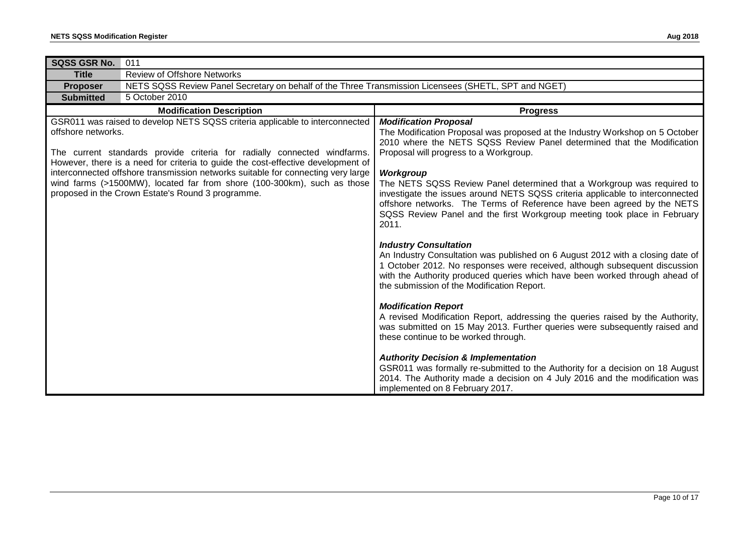| SQSS GSR No.                                                                                                                                                                                                                                                                                                                                                                                                                                                                           | 011                                                                                                  |                                                                                                                                                                                                                                                                                                                                                                                                                                                                                                                                                                |
|----------------------------------------------------------------------------------------------------------------------------------------------------------------------------------------------------------------------------------------------------------------------------------------------------------------------------------------------------------------------------------------------------------------------------------------------------------------------------------------|------------------------------------------------------------------------------------------------------|----------------------------------------------------------------------------------------------------------------------------------------------------------------------------------------------------------------------------------------------------------------------------------------------------------------------------------------------------------------------------------------------------------------------------------------------------------------------------------------------------------------------------------------------------------------|
| <b>Title</b>                                                                                                                                                                                                                                                                                                                                                                                                                                                                           | <b>Review of Offshore Networks</b>                                                                   |                                                                                                                                                                                                                                                                                                                                                                                                                                                                                                                                                                |
| <b>Proposer</b>                                                                                                                                                                                                                                                                                                                                                                                                                                                                        | NETS SQSS Review Panel Secretary on behalf of the Three Transmission Licensees (SHETL, SPT and NGET) |                                                                                                                                                                                                                                                                                                                                                                                                                                                                                                                                                                |
| <b>Submitted</b>                                                                                                                                                                                                                                                                                                                                                                                                                                                                       | 5 October 2010                                                                                       |                                                                                                                                                                                                                                                                                                                                                                                                                                                                                                                                                                |
|                                                                                                                                                                                                                                                                                                                                                                                                                                                                                        | <b>Modification Description</b>                                                                      | <b>Progress</b>                                                                                                                                                                                                                                                                                                                                                                                                                                                                                                                                                |
| GSR011 was raised to develop NETS SQSS criteria applicable to interconnected<br>offshore networks.<br>The current standards provide criteria for radially connected windfarms.<br>However, there is a need for criteria to guide the cost-effective development of<br>interconnected offshore transmission networks suitable for connecting very large<br>wind farms (>1500MW), located far from shore (100-300km), such as those<br>proposed in the Crown Estate's Round 3 programme. |                                                                                                      | <b>Modification Proposal</b><br>The Modification Proposal was proposed at the Industry Workshop on 5 October<br>2010 where the NETS SQSS Review Panel determined that the Modification<br>Proposal will progress to a Workgroup.<br>Workgroup<br>The NETS SQSS Review Panel determined that a Workgroup was required to<br>investigate the issues around NETS SQSS criteria applicable to interconnected<br>offshore networks. The Terms of Reference have been agreed by the NETS<br>SQSS Review Panel and the first Workgroup meeting took place in February |
|                                                                                                                                                                                                                                                                                                                                                                                                                                                                                        |                                                                                                      | 2011.<br><b>Industry Consultation</b><br>An Industry Consultation was published on 6 August 2012 with a closing date of<br>1 October 2012. No responses were received, although subsequent discussion<br>with the Authority produced queries which have been worked through ahead of<br>the submission of the Modification Report.                                                                                                                                                                                                                             |
|                                                                                                                                                                                                                                                                                                                                                                                                                                                                                        |                                                                                                      | <b>Modification Report</b><br>A revised Modification Report, addressing the queries raised by the Authority,<br>was submitted on 15 May 2013. Further queries were subsequently raised and<br>these continue to be worked through.                                                                                                                                                                                                                                                                                                                             |
|                                                                                                                                                                                                                                                                                                                                                                                                                                                                                        |                                                                                                      | <b>Authority Decision &amp; Implementation</b><br>GSR011 was formally re-submitted to the Authority for a decision on 18 August<br>2014. The Authority made a decision on 4 July 2016 and the modification was<br>implemented on 8 February 2017.                                                                                                                                                                                                                                                                                                              |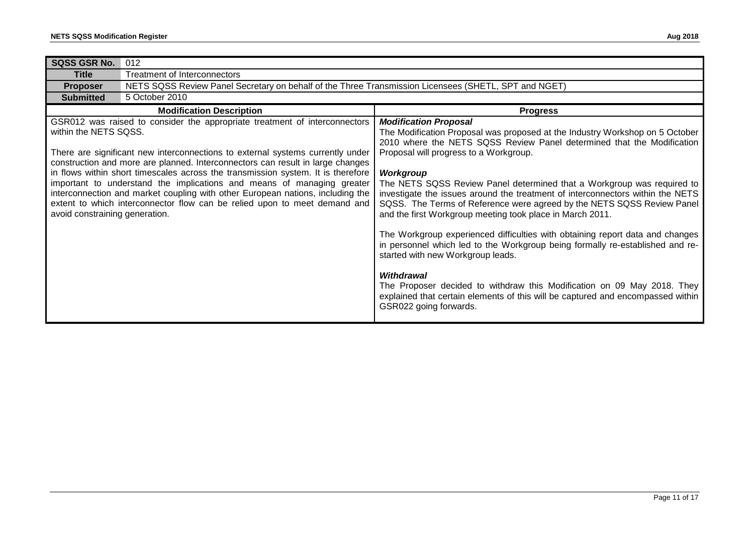| <b>SQSS GSR No.</b>                                     | 012                                                                                                                                                                                                                                                                                                                                                                                                                                                                                                                                                                         |                                                                                                                                                                                                                                                                                                                                                                                                                                                                                                                                                                                                                                                                                                                                                                                                                                                                                                                                                                      |  |
|---------------------------------------------------------|-----------------------------------------------------------------------------------------------------------------------------------------------------------------------------------------------------------------------------------------------------------------------------------------------------------------------------------------------------------------------------------------------------------------------------------------------------------------------------------------------------------------------------------------------------------------------------|----------------------------------------------------------------------------------------------------------------------------------------------------------------------------------------------------------------------------------------------------------------------------------------------------------------------------------------------------------------------------------------------------------------------------------------------------------------------------------------------------------------------------------------------------------------------------------------------------------------------------------------------------------------------------------------------------------------------------------------------------------------------------------------------------------------------------------------------------------------------------------------------------------------------------------------------------------------------|--|
| <b>Title</b>                                            | Treatment of Interconnectors                                                                                                                                                                                                                                                                                                                                                                                                                                                                                                                                                |                                                                                                                                                                                                                                                                                                                                                                                                                                                                                                                                                                                                                                                                                                                                                                                                                                                                                                                                                                      |  |
| <b>Proposer</b>                                         | NETS SQSS Review Panel Secretary on behalf of the Three Transmission Licensees (SHETL, SPT and NGET)                                                                                                                                                                                                                                                                                                                                                                                                                                                                        |                                                                                                                                                                                                                                                                                                                                                                                                                                                                                                                                                                                                                                                                                                                                                                                                                                                                                                                                                                      |  |
| <b>Submitted</b>                                        | 5 October 2010                                                                                                                                                                                                                                                                                                                                                                                                                                                                                                                                                              |                                                                                                                                                                                                                                                                                                                                                                                                                                                                                                                                                                                                                                                                                                                                                                                                                                                                                                                                                                      |  |
|                                                         | <b>Modification Description</b>                                                                                                                                                                                                                                                                                                                                                                                                                                                                                                                                             | <b>Progress</b>                                                                                                                                                                                                                                                                                                                                                                                                                                                                                                                                                                                                                                                                                                                                                                                                                                                                                                                                                      |  |
| within the NETS SQSS.<br>avoid constraining generation. | GSR012 was raised to consider the appropriate treatment of interconnectors<br>There are significant new interconnections to external systems currently under<br>construction and more are planned. Interconnectors can result in large changes<br>in flows within short timescales across the transmission system. It is therefore<br>important to understand the implications and means of managing greater<br>interconnection and market coupling with other European nations, including the<br>extent to which interconnector flow can be relied upon to meet demand and | <b>Modification Proposal</b><br>The Modification Proposal was proposed at the Industry Workshop on 5 October<br>2010 where the NETS SQSS Review Panel determined that the Modification<br>Proposal will progress to a Workgroup.<br>Workgroup<br>The NETS SQSS Review Panel determined that a Workgroup was required to<br>investigate the issues around the treatment of interconnectors within the NETS<br>SQSS. The Terms of Reference were agreed by the NETS SQSS Review Panel<br>and the first Workgroup meeting took place in March 2011.<br>The Workgroup experienced difficulties with obtaining report data and changes<br>in personnel which led to the Workgroup being formally re-established and re-<br>started with new Workgroup leads.<br><b>Withdrawal</b><br>The Proposer decided to withdraw this Modification on 09 May 2018. They<br>explained that certain elements of this will be captured and encompassed within<br>GSR022 going forwards. |  |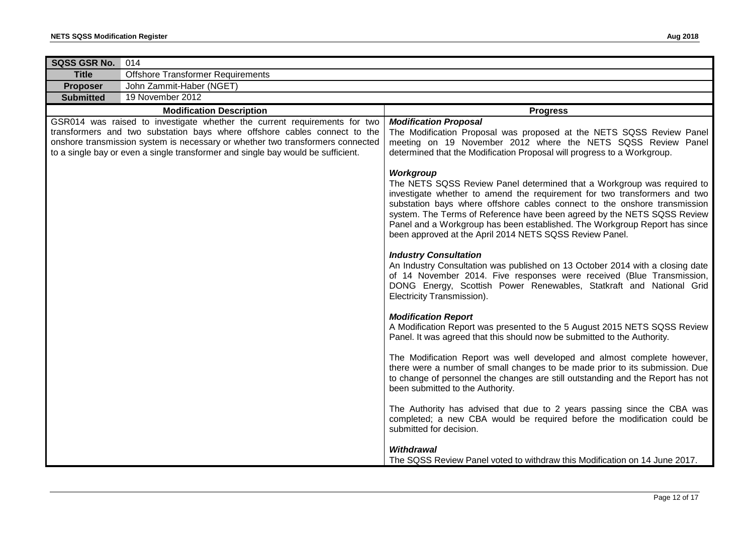| SQSS GSR No.     | 014                                                                                                                                                                                                                                                                                                                          |                                                                                                                                                                                                                                                                                                                                                                                                                                                                   |
|------------------|------------------------------------------------------------------------------------------------------------------------------------------------------------------------------------------------------------------------------------------------------------------------------------------------------------------------------|-------------------------------------------------------------------------------------------------------------------------------------------------------------------------------------------------------------------------------------------------------------------------------------------------------------------------------------------------------------------------------------------------------------------------------------------------------------------|
| <b>Title</b>     | <b>Offshore Transformer Requirements</b>                                                                                                                                                                                                                                                                                     |                                                                                                                                                                                                                                                                                                                                                                                                                                                                   |
| Proposer         | John Zammit-Haber (NGET)                                                                                                                                                                                                                                                                                                     |                                                                                                                                                                                                                                                                                                                                                                                                                                                                   |
| <b>Submitted</b> | 19 November 2012                                                                                                                                                                                                                                                                                                             |                                                                                                                                                                                                                                                                                                                                                                                                                                                                   |
|                  | <b>Modification Description</b>                                                                                                                                                                                                                                                                                              | <b>Progress</b>                                                                                                                                                                                                                                                                                                                                                                                                                                                   |
|                  | GSR014 was raised to investigate whether the current requirements for two<br>transformers and two substation bays where offshore cables connect to the<br>onshore transmission system is necessary or whether two transformers connected<br>to a single bay or even a single transformer and single bay would be sufficient. | <b>Modification Proposal</b><br>The Modification Proposal was proposed at the NETS SQSS Review Panel<br>meeting on 19 November 2012 where the NETS SQSS Review Panel<br>determined that the Modification Proposal will progress to a Workgroup.                                                                                                                                                                                                                   |
|                  |                                                                                                                                                                                                                                                                                                                              | Workgroup<br>The NETS SQSS Review Panel determined that a Workgroup was required to<br>investigate whether to amend the requirement for two transformers and two<br>substation bays where offshore cables connect to the onshore transmission<br>system. The Terms of Reference have been agreed by the NETS SQSS Review<br>Panel and a Workgroup has been established. The Workgroup Report has since<br>been approved at the April 2014 NETS SQSS Review Panel. |
|                  |                                                                                                                                                                                                                                                                                                                              | <b>Industry Consultation</b><br>An Industry Consultation was published on 13 October 2014 with a closing date<br>of 14 November 2014. Five responses were received (Blue Transmission,<br>DONG Energy, Scottish Power Renewables, Statkraft and National Grid<br>Electricity Transmission).                                                                                                                                                                       |
|                  |                                                                                                                                                                                                                                                                                                                              | <b>Modification Report</b><br>A Modification Report was presented to the 5 August 2015 NETS SQSS Review<br>Panel. It was agreed that this should now be submitted to the Authority.                                                                                                                                                                                                                                                                               |
|                  |                                                                                                                                                                                                                                                                                                                              | The Modification Report was well developed and almost complete however,<br>there were a number of small changes to be made prior to its submission. Due<br>to change of personnel the changes are still outstanding and the Report has not<br>been submitted to the Authority.                                                                                                                                                                                    |
|                  |                                                                                                                                                                                                                                                                                                                              | The Authority has advised that due to 2 years passing since the CBA was<br>completed; a new CBA would be required before the modification could be<br>submitted for decision.                                                                                                                                                                                                                                                                                     |
|                  |                                                                                                                                                                                                                                                                                                                              | <b>Withdrawal</b><br>The SQSS Review Panel voted to withdraw this Modification on 14 June 2017.                                                                                                                                                                                                                                                                                                                                                                   |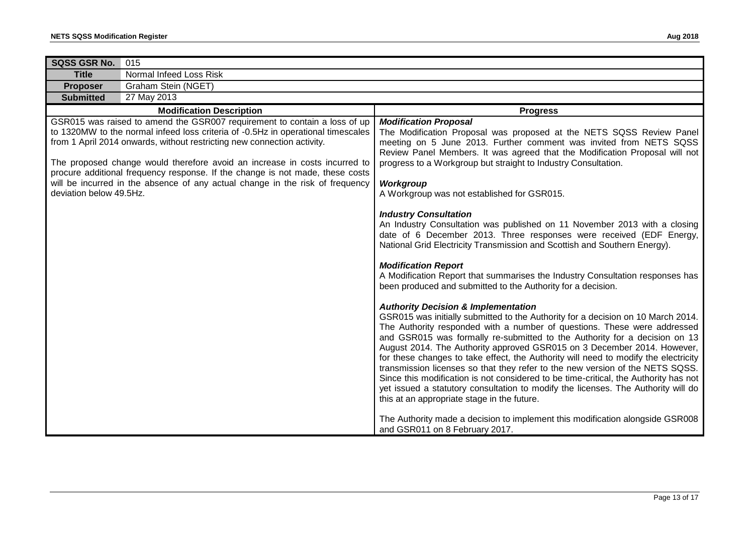| SQSS GSR No.<br>015     |                                                                                                                                                                                                                                                                                                                                                                                                                                                                                          |                                                                                                                                                                                                                                                                                                                                                                                                                                                                                                                                                                                                                                                                                                                                                                                                                                                                                                                                                                                                                                                                                                                                                                                                                                                                                                                                                                                                                                                                                                                                                                                                                        |
|-------------------------|------------------------------------------------------------------------------------------------------------------------------------------------------------------------------------------------------------------------------------------------------------------------------------------------------------------------------------------------------------------------------------------------------------------------------------------------------------------------------------------|------------------------------------------------------------------------------------------------------------------------------------------------------------------------------------------------------------------------------------------------------------------------------------------------------------------------------------------------------------------------------------------------------------------------------------------------------------------------------------------------------------------------------------------------------------------------------------------------------------------------------------------------------------------------------------------------------------------------------------------------------------------------------------------------------------------------------------------------------------------------------------------------------------------------------------------------------------------------------------------------------------------------------------------------------------------------------------------------------------------------------------------------------------------------------------------------------------------------------------------------------------------------------------------------------------------------------------------------------------------------------------------------------------------------------------------------------------------------------------------------------------------------------------------------------------------------------------------------------------------------|
| <b>Title</b>            | Normal Infeed Loss Risk                                                                                                                                                                                                                                                                                                                                                                                                                                                                  |                                                                                                                                                                                                                                                                                                                                                                                                                                                                                                                                                                                                                                                                                                                                                                                                                                                                                                                                                                                                                                                                                                                                                                                                                                                                                                                                                                                                                                                                                                                                                                                                                        |
| <b>Proposer</b>         | Graham Stein (NGET)                                                                                                                                                                                                                                                                                                                                                                                                                                                                      |                                                                                                                                                                                                                                                                                                                                                                                                                                                                                                                                                                                                                                                                                                                                                                                                                                                                                                                                                                                                                                                                                                                                                                                                                                                                                                                                                                                                                                                                                                                                                                                                                        |
| <b>Submitted</b>        | 27 May 2013                                                                                                                                                                                                                                                                                                                                                                                                                                                                              |                                                                                                                                                                                                                                                                                                                                                                                                                                                                                                                                                                                                                                                                                                                                                                                                                                                                                                                                                                                                                                                                                                                                                                                                                                                                                                                                                                                                                                                                                                                                                                                                                        |
|                         | <b>Modification Description</b>                                                                                                                                                                                                                                                                                                                                                                                                                                                          | <b>Progress</b>                                                                                                                                                                                                                                                                                                                                                                                                                                                                                                                                                                                                                                                                                                                                                                                                                                                                                                                                                                                                                                                                                                                                                                                                                                                                                                                                                                                                                                                                                                                                                                                                        |
| deviation below 49.5Hz. | GSR015 was raised to amend the GSR007 requirement to contain a loss of up<br>to 1320MW to the normal infeed loss criteria of -0.5Hz in operational timescales<br>from 1 April 2014 onwards, without restricting new connection activity.<br>The proposed change would therefore avoid an increase in costs incurred to<br>procure additional frequency response. If the change is not made, these costs<br>will be incurred in the absence of any actual change in the risk of frequency | <b>Modification Proposal</b><br>The Modification Proposal was proposed at the NETS SQSS Review Panel<br>meeting on 5 June 2013. Further comment was invited from NETS SQSS<br>Review Panel Members. It was agreed that the Modification Proposal will not<br>progress to a Workgroup but straight to Industry Consultation.<br>Workgroup<br>A Workgroup was not established for GSR015.<br><b>Industry Consultation</b><br>An Industry Consultation was published on 11 November 2013 with a closing<br>date of 6 December 2013. Three responses were received (EDF Energy,<br>National Grid Electricity Transmission and Scottish and Southern Energy).<br><b>Modification Report</b><br>A Modification Report that summarises the Industry Consultation responses has<br>been produced and submitted to the Authority for a decision.<br><b>Authority Decision &amp; Implementation</b><br>GSR015 was initially submitted to the Authority for a decision on 10 March 2014.<br>The Authority responded with a number of questions. These were addressed<br>and GSR015 was formally re-submitted to the Authority for a decision on 13<br>August 2014. The Authority approved GSR015 on 3 December 2014. However,<br>for these changes to take effect, the Authority will need to modify the electricity<br>transmission licenses so that they refer to the new version of the NETS SQSS.<br>Since this modification is not considered to be time-critical, the Authority has not<br>yet issued a statutory consultation to modify the licenses. The Authority will do<br>this at an appropriate stage in the future. |
|                         |                                                                                                                                                                                                                                                                                                                                                                                                                                                                                          | The Authority made a decision to implement this modification alongside GSR008<br>and GSR011 on 8 February 2017.                                                                                                                                                                                                                                                                                                                                                                                                                                                                                                                                                                                                                                                                                                                                                                                                                                                                                                                                                                                                                                                                                                                                                                                                                                                                                                                                                                                                                                                                                                        |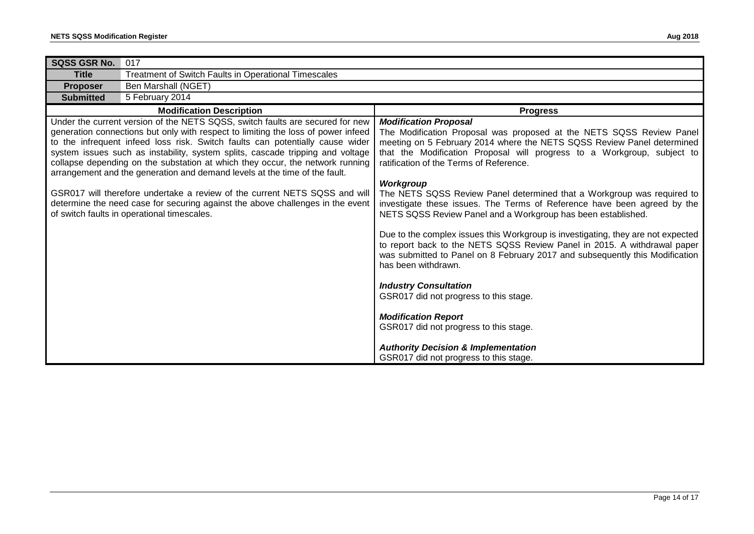| SQSS GSR No.                                                                                                                                                                                                                                                                                                                                                                                                                                                                                         | 017                                                  |                                                                                                                                                                                                                                                                                                                          |
|------------------------------------------------------------------------------------------------------------------------------------------------------------------------------------------------------------------------------------------------------------------------------------------------------------------------------------------------------------------------------------------------------------------------------------------------------------------------------------------------------|------------------------------------------------------|--------------------------------------------------------------------------------------------------------------------------------------------------------------------------------------------------------------------------------------------------------------------------------------------------------------------------|
| <b>Title</b>                                                                                                                                                                                                                                                                                                                                                                                                                                                                                         | Treatment of Switch Faults in Operational Timescales |                                                                                                                                                                                                                                                                                                                          |
| <b>Proposer</b>                                                                                                                                                                                                                                                                                                                                                                                                                                                                                      | Ben Marshall (NGET)                                  |                                                                                                                                                                                                                                                                                                                          |
| <b>Submitted</b>                                                                                                                                                                                                                                                                                                                                                                                                                                                                                     | 5 February 2014                                      |                                                                                                                                                                                                                                                                                                                          |
| <b>Modification Description</b>                                                                                                                                                                                                                                                                                                                                                                                                                                                                      |                                                      | <b>Progress</b>                                                                                                                                                                                                                                                                                                          |
| Under the current version of the NETS SQSS, switch faults are secured for new<br>generation connections but only with respect to limiting the loss of power infeed<br>to the infrequent infeed loss risk. Switch faults can potentially cause wider<br>system issues such as instability, system splits, cascade tripping and voltage<br>collapse depending on the substation at which they occur, the network running<br>arrangement and the generation and demand levels at the time of the fault. |                                                      | <b>Modification Proposal</b><br>The Modification Proposal was proposed at the NETS SQSS Review Panel<br>meeting on 5 February 2014 where the NETS SQSS Review Panel determined<br>that the Modification Proposal will progress to a Workgroup, subject to<br>ratification of the Terms of Reference.<br><b>Workgroup</b> |
| GSR017 will therefore undertake a review of the current NETS SQSS and will<br>determine the need case for securing against the above challenges in the event<br>of switch faults in operational timescales.                                                                                                                                                                                                                                                                                          |                                                      | The NETS SQSS Review Panel determined that a Workgroup was required to<br>investigate these issues. The Terms of Reference have been agreed by the<br>NETS SQSS Review Panel and a Workgroup has been established.                                                                                                       |
|                                                                                                                                                                                                                                                                                                                                                                                                                                                                                                      |                                                      | Due to the complex issues this Workgroup is investigating, they are not expected<br>to report back to the NETS SQSS Review Panel in 2015. A withdrawal paper<br>was submitted to Panel on 8 February 2017 and subsequently this Modification<br>has been withdrawn.                                                      |
|                                                                                                                                                                                                                                                                                                                                                                                                                                                                                                      |                                                      | <b>Industry Consultation</b><br>GSR017 did not progress to this stage.                                                                                                                                                                                                                                                   |
|                                                                                                                                                                                                                                                                                                                                                                                                                                                                                                      |                                                      | <b>Modification Report</b><br>GSR017 did not progress to this stage.                                                                                                                                                                                                                                                     |
|                                                                                                                                                                                                                                                                                                                                                                                                                                                                                                      |                                                      | <b>Authority Decision &amp; Implementation</b><br>GSR017 did not progress to this stage.                                                                                                                                                                                                                                 |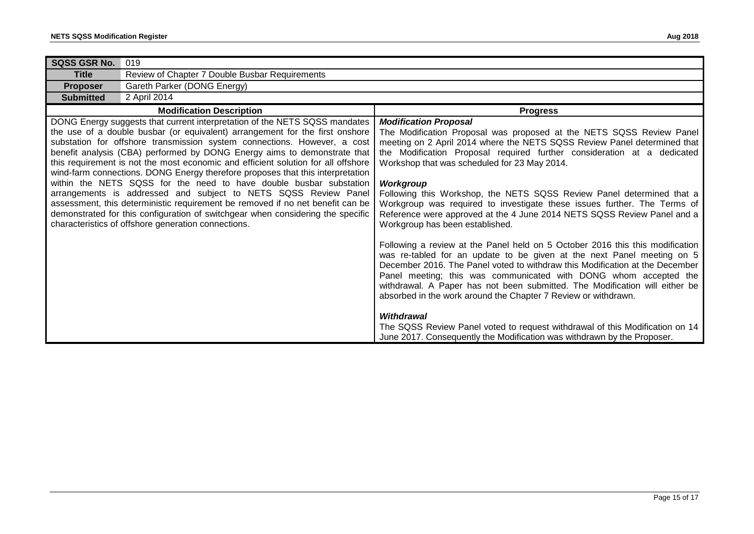| <b>SQSS GSR No.</b>                                                                                                                                                                                                                                                                                                                                                                                                                                                                                                                                                                                                                                                                                                                                                                                                                                            | 019                                            |                                                                                                                                                                                                                                                                                                                                                                                                                                                                                                                                                                                                                                       |
|----------------------------------------------------------------------------------------------------------------------------------------------------------------------------------------------------------------------------------------------------------------------------------------------------------------------------------------------------------------------------------------------------------------------------------------------------------------------------------------------------------------------------------------------------------------------------------------------------------------------------------------------------------------------------------------------------------------------------------------------------------------------------------------------------------------------------------------------------------------|------------------------------------------------|---------------------------------------------------------------------------------------------------------------------------------------------------------------------------------------------------------------------------------------------------------------------------------------------------------------------------------------------------------------------------------------------------------------------------------------------------------------------------------------------------------------------------------------------------------------------------------------------------------------------------------------|
| <b>Title</b>                                                                                                                                                                                                                                                                                                                                                                                                                                                                                                                                                                                                                                                                                                                                                                                                                                                   | Review of Chapter 7 Double Busbar Requirements |                                                                                                                                                                                                                                                                                                                                                                                                                                                                                                                                                                                                                                       |
| <b>Proposer</b>                                                                                                                                                                                                                                                                                                                                                                                                                                                                                                                                                                                                                                                                                                                                                                                                                                                | Gareth Parker (DONG Energy)                    |                                                                                                                                                                                                                                                                                                                                                                                                                                                                                                                                                                                                                                       |
| <b>Submitted</b>                                                                                                                                                                                                                                                                                                                                                                                                                                                                                                                                                                                                                                                                                                                                                                                                                                               | 2 April 2014                                   |                                                                                                                                                                                                                                                                                                                                                                                                                                                                                                                                                                                                                                       |
| <b>Modification Description</b>                                                                                                                                                                                                                                                                                                                                                                                                                                                                                                                                                                                                                                                                                                                                                                                                                                |                                                | <b>Progress</b>                                                                                                                                                                                                                                                                                                                                                                                                                                                                                                                                                                                                                       |
| DONG Energy suggests that current interpretation of the NETS SQSS mandates<br>the use of a double busbar (or equivalent) arrangement for the first onshore<br>substation for offshore transmission system connections. However, a cost<br>benefit analysis (CBA) performed by DONG Energy aims to demonstrate that<br>this requirement is not the most economic and efficient solution for all offshore<br>wind-farm connections. DONG Energy therefore proposes that this interpretation<br>within the NETS SQSS for the need to have double busbar substation<br>arrangements is addressed and subject to NETS SQSS Review Panel<br>assessment, this deterministic requirement be removed if no net benefit can be<br>demonstrated for this configuration of switchgear when considering the specific<br>characteristics of offshore generation connections. |                                                | <b>Modification Proposal</b><br>The Modification Proposal was proposed at the NETS SQSS Review Panel<br>meeting on 2 April 2014 where the NETS SQSS Review Panel determined that<br>the Modification Proposal required further consideration at a dedicated<br>Workshop that was scheduled for 23 May 2014.<br><b>Workgroup</b><br>Following this Workshop, the NETS SQSS Review Panel determined that a<br>Workgroup was required to investigate these issues further. The Terms of<br>Reference were approved at the 4 June 2014 NETS SQSS Review Panel and a<br>Workgroup has been established.                                    |
|                                                                                                                                                                                                                                                                                                                                                                                                                                                                                                                                                                                                                                                                                                                                                                                                                                                                |                                                | Following a review at the Panel held on 5 October 2016 this this modification<br>was re-tabled for an update to be given at the next Panel meeting on 5<br>December 2016. The Panel voted to withdraw this Modification at the December<br>Panel meeting; this was communicated with DONG whom accepted the<br>withdrawal. A Paper has not been submitted. The Modification will either be<br>absorbed in the work around the Chapter 7 Review or withdrawn.<br>Withdrawal<br>The SQSS Review Panel voted to request withdrawal of this Modification on 14<br>June 2017. Consequently the Modification was withdrawn by the Proposer. |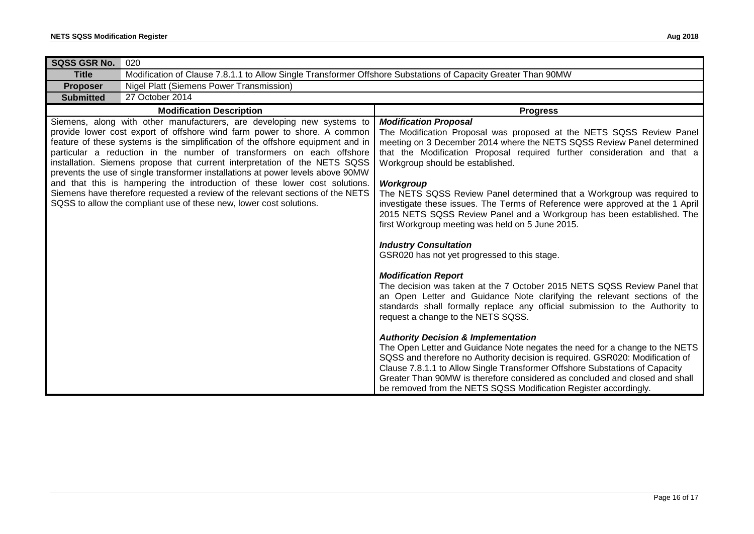| <b>SQSS GSR No.</b>                                                                                                                                                                                                                                                                                                                                                                                                                                                                                                                                                                                                                                                                                                    | 020                                                                                                           |                                                                                                                                                                                                                                                                                                                                                                                                                                                                                                                                                                                                     |  |
|------------------------------------------------------------------------------------------------------------------------------------------------------------------------------------------------------------------------------------------------------------------------------------------------------------------------------------------------------------------------------------------------------------------------------------------------------------------------------------------------------------------------------------------------------------------------------------------------------------------------------------------------------------------------------------------------------------------------|---------------------------------------------------------------------------------------------------------------|-----------------------------------------------------------------------------------------------------------------------------------------------------------------------------------------------------------------------------------------------------------------------------------------------------------------------------------------------------------------------------------------------------------------------------------------------------------------------------------------------------------------------------------------------------------------------------------------------------|--|
| <b>Title</b>                                                                                                                                                                                                                                                                                                                                                                                                                                                                                                                                                                                                                                                                                                           | Modification of Clause 7.8.1.1 to Allow Single Transformer Offshore Substations of Capacity Greater Than 90MW |                                                                                                                                                                                                                                                                                                                                                                                                                                                                                                                                                                                                     |  |
| <b>Proposer</b>                                                                                                                                                                                                                                                                                                                                                                                                                                                                                                                                                                                                                                                                                                        | <b>Nigel Platt (Siemens Power Transmission)</b>                                                               |                                                                                                                                                                                                                                                                                                                                                                                                                                                                                                                                                                                                     |  |
| 27 October 2014<br><b>Submitted</b>                                                                                                                                                                                                                                                                                                                                                                                                                                                                                                                                                                                                                                                                                    |                                                                                                               |                                                                                                                                                                                                                                                                                                                                                                                                                                                                                                                                                                                                     |  |
|                                                                                                                                                                                                                                                                                                                                                                                                                                                                                                                                                                                                                                                                                                                        | <b>Modification Description</b>                                                                               | <b>Progress</b>                                                                                                                                                                                                                                                                                                                                                                                                                                                                                                                                                                                     |  |
| Siemens, along with other manufacturers, are developing new systems to<br>provide lower cost export of offshore wind farm power to shore. A common<br>feature of these systems is the simplification of the offshore equipment and in<br>particular a reduction in the number of transformers on each offshore<br>installation. Siemens propose that current interpretation of the NETS SQSS<br>prevents the use of single transformer installations at power levels above 90MW<br>and that this is hampering the introduction of these lower cost solutions.<br>Siemens have therefore requested a review of the relevant sections of the NETS<br>SQSS to allow the compliant use of these new, lower cost solutions. |                                                                                                               | <b>Modification Proposal</b><br>The Modification Proposal was proposed at the NETS SQSS Review Panel<br>meeting on 3 December 2014 where the NETS SQSS Review Panel determined<br>that the Modification Proposal required further consideration and that a<br>Workgroup should be established.<br>Workgroup<br>The NETS SQSS Review Panel determined that a Workgroup was required to<br>investigate these issues. The Terms of Reference were approved at the 1 April<br>2015 NETS SQSS Review Panel and a Workgroup has been established. The<br>first Workgroup meeting was held on 5 June 2015. |  |
|                                                                                                                                                                                                                                                                                                                                                                                                                                                                                                                                                                                                                                                                                                                        |                                                                                                               | <b>Industry Consultation</b><br>GSR020 has not yet progressed to this stage.                                                                                                                                                                                                                                                                                                                                                                                                                                                                                                                        |  |
|                                                                                                                                                                                                                                                                                                                                                                                                                                                                                                                                                                                                                                                                                                                        |                                                                                                               | <b>Modification Report</b><br>The decision was taken at the 7 October 2015 NETS SQSS Review Panel that<br>an Open Letter and Guidance Note clarifying the relevant sections of the<br>standards shall formally replace any official submission to the Authority to<br>request a change to the NETS SQSS.                                                                                                                                                                                                                                                                                            |  |
|                                                                                                                                                                                                                                                                                                                                                                                                                                                                                                                                                                                                                                                                                                                        |                                                                                                               | <b>Authority Decision &amp; Implementation</b><br>The Open Letter and Guidance Note negates the need for a change to the NETS<br>SQSS and therefore no Authority decision is required. GSR020: Modification of<br>Clause 7.8.1.1 to Allow Single Transformer Offshore Substations of Capacity<br>Greater Than 90MW is therefore considered as concluded and closed and shall<br>be removed from the NETS SQSS Modification Register accordingly.                                                                                                                                                    |  |